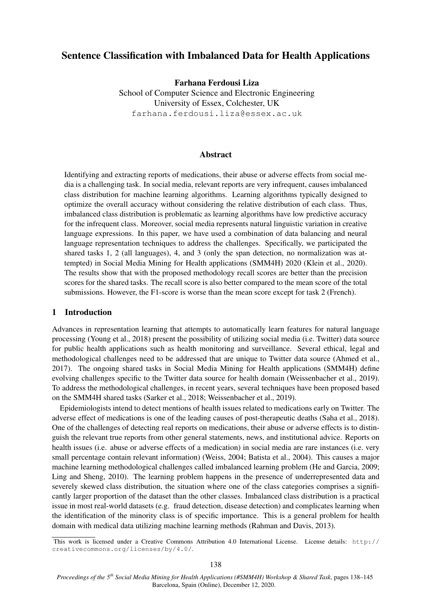# Sentence Classification with Imbalanced Data for Health Applications

Farhana Ferdousi Liza School of Computer Science and Electronic Engineering University of Essex, Colchester, UK farhana.ferdousi.liza@essex.ac.uk

## Abstract

Identifying and extracting reports of medications, their abuse or adverse effects from social media is a challenging task. In social media, relevant reports are very infrequent, causes imbalanced class distribution for machine learning algorithms. Learning algorithms typically designed to optimize the overall accuracy without considering the relative distribution of each class. Thus, imbalanced class distribution is problematic as learning algorithms have low predictive accuracy for the infrequent class. Moreover, social media represents natural linguistic variation in creative language expressions. In this paper, we have used a combination of data balancing and neural language representation techniques to address the challenges. Specifically, we participated the shared tasks 1, 2 (all languages), 4, and 3 (only the span detection, no normalization was attempted) in Social Media Mining for Health applications (SMM4H) 2020 (Klein et al., 2020). The results show that with the proposed methodology recall scores are better than the precision scores for the shared tasks. The recall score is also better compared to the mean score of the total submissions. However, the F1-score is worse than the mean score except for task 2 (French).

## 1 Introduction

Advances in representation learning that attempts to automatically learn features for natural language processing (Young et al., 2018) present the possibility of utilizing social media (i.e. Twitter) data source for public health applications such as health monitoring and surveillance. Several ethical, legal and methodological challenges need to be addressed that are unique to Twitter data source (Ahmed et al., 2017). The ongoing shared tasks in Social Media Mining for Health applications (SMM4H) define evolving challenges specific to the Twitter data source for health domain (Weissenbacher et al., 2019). To address the methodological challenges, in recent years, several techniques have been proposed based on the SMM4H shared tasks (Sarker et al., 2018; Weissenbacher et al., 2019).

Epidemiologists intend to detect mentions of health issues related to medications early on Twitter. The adverse effect of medications is one of the leading causes of post-therapeutic deaths (Saha et al., 2018). One of the challenges of detecting real reports on medications, their abuse or adverse effects is to distinguish the relevant true reports from other general statements, news, and institutional advice. Reports on health issues (i.e. abuse or adverse effects of a medication) in social media are rare instances (i.e. very small percentage contain relevant information) (Weiss, 2004; Batista et al., 2004). This causes a major machine learning methodological challenges called imbalanced learning problem (He and Garcia, 2009; Ling and Sheng, 2010). The learning problem happens in the presence of underrepresented data and severely skewed class distribution, the situation where one of the class categories comprises a significantly larger proportion of the dataset than the other classes. Imbalanced class distribution is a practical issue in most real-world datasets (e.g. fraud detection, disease detection) and complicates learning when the identification of the minority class is of specific importance. This is a general problem for health domain with medical data utilizing machine learning methods (Rahman and Davis, 2013).

This work is licensed under a Creative Commons Attribution 4.0 International License. License details: http:// creativecommons.org/licenses/by/4.0/.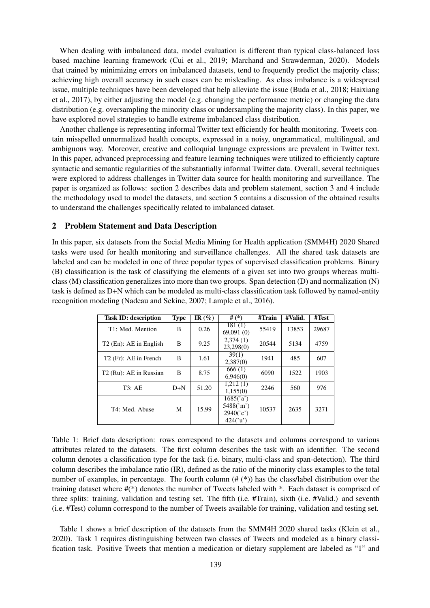When dealing with imbalanced data, model evaluation is different than typical class-balanced loss based machine learning framework (Cui et al., 2019; Marchand and Strawderman, 2020). Models that trained by minimizing errors on imbalanced datasets, tend to frequently predict the majority class; achieving high overall accuracy in such cases can be misleading. As class imbalance is a widespread issue, multiple techniques have been developed that help alleviate the issue (Buda et al., 2018; Haixiang et al., 2017), by either adjusting the model (e.g. changing the performance metric) or changing the data distribution (e.g. oversampling the minority class or undersampling the majority class). In this paper, we have explored novel strategies to handle extreme imbalanced class distribution.

Another challenge is representing informal Twitter text efficiently for health monitoring. Tweets contain misspelled unnormalized health concepts, expressed in a noisy, ungrammatical, multilingual, and ambiguous way. Moreover, creative and colloquial language expressions are prevalent in Twitter text. In this paper, advanced preprocessing and feature learning techniques were utilized to efficiently capture syntactic and semantic regularities of the substantially informal Twitter data. Overall, several techniques were explored to address challenges in Twitter data source for health monitoring and surveillance. The paper is organized as follows: section 2 describes data and problem statement, section 3 and 4 include the methodology used to model the datasets, and section 5 contains a discussion of the obtained results to understand the challenges specifically related to imbalanced dataset.

## 2 Problem Statement and Data Description

In this paper, six datasets from the Social Media Mining for Health application (SMM4H) 2020 Shared tasks were used for health monitoring and surveillance challenges. All the shared task datasets are labeled and can be modeled in one of three popular types of supervised classification problems. Binary (B) classification is the task of classifying the elements of a given set into two groups whereas multiclass (M) classification generalizes into more than two groups. Span detection (D) and normalization (N) task is defined as D+N which can be modeled as multi-class classification task followed by named-entity recognition modeling (Nadeau and Sekine, 2007; Lample et al., 2016).

| <b>Task ID: description</b>        | <b>Type</b> | IR $(\%)$ | # $(*)$                                         | #Train | #Valid. | #Test |
|------------------------------------|-------------|-----------|-------------------------------------------------|--------|---------|-------|
| T1: Med. Mention                   | B           | 0.26      | 181(1)<br>69,091(0)                             | 55419  | 13853   | 29687 |
| T <sub>2</sub> (En): AE in English | B           | 9.25      | 2,374(1)<br>23,298(0)                           | 20544  | 5134    | 4759  |
| T <sub>2</sub> (Fr): AE in French  | B           | 1.61      | 39(1)<br>2,387(0)                               | 1941   | 485     | 607   |
| T <sub>2</sub> (Ru): AE in Russian | B           | 8.75      | 666(1)<br>6,946(0)                              | 6090   | 1522    | 1903  |
| T3:AE                              | $D+N$       | 51.20     | 1,212(1)<br>1,155(0)                            | 2246   | 560     | 976   |
| T4: Med. Abuse                     | М           | 15.99     | 1685('a')<br>5488('m')<br>2940('c')<br>424('u') | 10537  | 2635    | 3271  |

Table 1: Brief data description: rows correspond to the datasets and columns correspond to various attributes related to the datasets. The first column describes the task with an identifier. The second column denotes a classification type for the task (i.e. binary, multi-class and span-detection). The third column describes the imbalance ratio (IR), defined as the ratio of the minority class examples to the total number of examples, in percentage. The fourth column  $(\# (*)$ ) has the class/label distribution over the training dataset where #(\*) denotes the number of Tweets labeled with \*. Each dataset is comprised of three splits: training, validation and testing set. The fifth (i.e. #Train), sixth (i.e. #Valid.) and seventh (i.e. #Test) column correspond to the number of Tweets available for training, validation and testing set.

Table 1 shows a brief description of the datasets from the SMM4H 2020 shared tasks (Klein et al., 2020). Task 1 requires distinguishing between two classes of Tweets and modeled as a binary classification task. Positive Tweets that mention a medication or dietary supplement are labeled as "1" and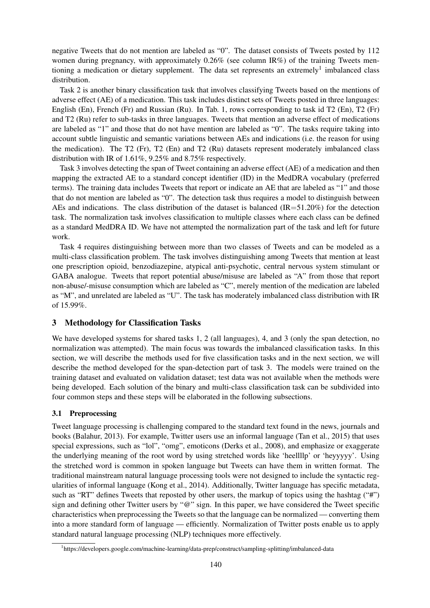negative Tweets that do not mention are labeled as "0". The dataset consists of Tweets posted by 112 women during pregnancy, with approximately  $0.26\%$  (see column IR%) of the training Tweets mentioning a medication or dietary supplement. The data set represents an extremely<sup>1</sup> imbalanced class distribution.

Task 2 is another binary classification task that involves classifying Tweets based on the mentions of adverse effect (AE) of a medication. This task includes distinct sets of Tweets posted in three languages: English (En), French (Fr) and Russian (Ru). In Tab. 1, rows corresponding to task id T2 (En), T2 (Fr) and T2 (Ru) refer to sub-tasks in three languages. Tweets that mention an adverse effect of medications are labeled as "1" and those that do not have mention are labeled as "0". The tasks require taking into account subtle linguistic and semantic variations between AEs and indications (i.e. the reason for using the medication). The T2 (Fr), T2 (En) and T2 (Ru) datasets represent moderately imbalanced class distribution with IR of 1.61%, 9.25% and 8.75% respectively.

Task 3 involves detecting the span of Tweet containing an adverse effect (AE) of a medication and then mapping the extracted AE to a standard concept identifier (ID) in the MedDRA vocabulary (preferred terms). The training data includes Tweets that report or indicate an AE that are labeled as "1" and those that do not mention are labeled as "0". The detection task thus requires a model to distinguish between AEs and indications. The class distribution of the dataset is balanced (IR=51.20%) for the detection task. The normalization task involves classification to multiple classes where each class can be defined as a standard MedDRA ID. We have not attempted the normalization part of the task and left for future work.

Task 4 requires distinguishing between more than two classes of Tweets and can be modeled as a multi-class classification problem. The task involves distinguishing among Tweets that mention at least one prescription opioid, benzodiazepine, atypical anti-psychotic, central nervous system stimulant or GABA analogue. Tweets that report potential abuse/misuse are labeled as "A" from those that report non-abuse/-misuse consumption which are labeled as "C", merely mention of the medication are labeled as "M", and unrelated are labeled as "U". The task has moderately imbalanced class distribution with IR of 15.99%.

# 3 Methodology for Classification Tasks

We have developed systems for shared tasks 1, 2 (all languages), 4, and 3 (only the span detection, no normalization was attempted). The main focus was towards the imbalanced classification tasks. In this section, we will describe the methods used for five classification tasks and in the next section, we will describe the method developed for the span-detection part of task 3. The models were trained on the training dataset and evaluated on validation dataset; test data was not available when the methods were being developed. Each solution of the binary and multi-class classification task can be subdivided into four common steps and these steps will be elaborated in the following subsections.

# 3.1 Preprocessing

Tweet language processing is challenging compared to the standard text found in the news, journals and books (Balahur, 2013). For example, Twitter users use an informal language (Tan et al., 2015) that uses special expressions, such as "lol", "omg", emoticons (Derks et al., 2008), and emphasize or exaggerate the underlying meaning of the root word by using stretched words like 'heellllp' or 'heyyyyy'. Using the stretched word is common in spoken language but Tweets can have them in written format. The traditional mainstream natural language processing tools were not designed to include the syntactic regularities of informal language (Kong et al., 2014). Additionally, Twitter language has specific metadata, such as "RT" defines Tweets that reposted by other users, the markup of topics using the hashtag ("#") sign and defining other Twitter users by "@" sign. In this paper, we have considered the Tweet specific characteristics when preprocessing the Tweets so that the language can be normalized — converting them into a more standard form of language — efficiently. Normalization of Twitter posts enable us to apply standard natural language processing (NLP) techniques more effectively.

<sup>1</sup> https://developers.google.com/machine-learning/data-prep/construct/sampling-splitting/imbalanced-data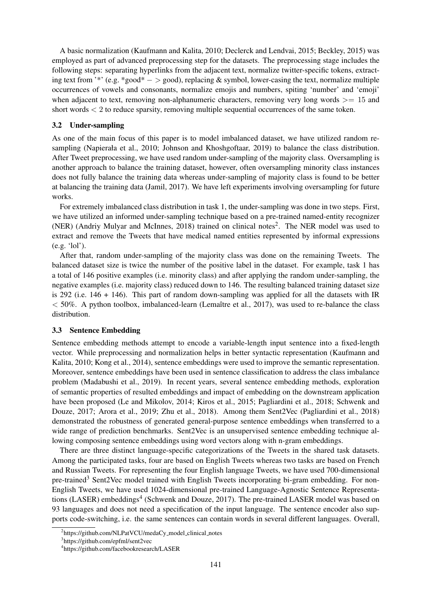A basic normalization (Kaufmann and Kalita, 2010; Declerck and Lendvai, 2015; Beckley, 2015) was employed as part of advanced preprocessing step for the datasets. The preprocessing stage includes the following steps: separating hyperlinks from the adjacent text, normalize twitter-specific tokens, extracting text from '\*' (e.g.  $*good* - > good$ ), replacing & symbol, lower-casing the text, normalize multiple occurrences of vowels and consonants, normalize emojis and numbers, spiting 'number' and 'emoji' when adjacent to text, removing non-alphanumeric characters, removing very long words  $\geq$  15 and short words  $\lt 2$  to reduce sparsity, removing multiple sequential occurrences of the same token.

#### 3.2 Under-sampling

As one of the main focus of this paper is to model imbalanced dataset, we have utilized random resampling (Napierała et al., 2010; Johnson and Khoshgoftaar, 2019) to balance the class distribution. After Tweet preprocessing, we have used random under-sampling of the majority class. Oversampling is another approach to balance the training dataset, however, often oversampling minority class instances does not fully balance the training data whereas under-sampling of majority class is found to be better at balancing the training data (Jamil, 2017). We have left experiments involving oversampling for future works.

For extremely imbalanced class distribution in task 1, the under-sampling was done in two steps. First, we have utilized an informed under-sampling technique based on a pre-trained named-entity recognizer (NER) (Andriy Mulyar and McInnes, 2018) trained on clinical notes<sup>2</sup>. The NER model was used to extract and remove the Tweets that have medical named entities represented by informal expressions (e.g. 'lol').

After that, random under-sampling of the majority class was done on the remaining Tweets. The balanced dataset size is twice the number of the positive label in the dataset. For example, task 1 has a total of 146 positive examples (i.e. minority class) and after applying the random under-sampling, the negative examples (i.e. majority class) reduced down to 146. The resulting balanced training dataset size is 292 (i.e.  $146 + 146$ ). This part of random down-sampling was applied for all the datasets with IR  $<$  50%. A python toolbox, imbalanced-learn (Lemaître et al., 2017), was used to re-balance the class distribution.

#### 3.3 Sentence Embedding

Sentence embedding methods attempt to encode a variable-length input sentence into a fixed-length vector. While preprocessing and normalization helps in better syntactic representation (Kaufmann and Kalita, 2010; Kong et al., 2014), sentence embeddings were used to improve the semantic representation. Moreover, sentence embeddings have been used in sentence classification to address the class imbalance problem (Madabushi et al., 2019). In recent years, several sentence embedding methods, exploration of semantic properties of resulted embeddings and impact of embedding on the downstream application have been proposed (Le and Mikolov, 2014; Kiros et al., 2015; Pagliardini et al., 2018; Schwenk and Douze, 2017; Arora et al., 2019; Zhu et al., 2018). Among them Sent2Vec (Pagliardini et al., 2018) demonstrated the robustness of generated general-purpose sentence embeddings when transferred to a wide range of prediction benchmarks. Sent2Vec is an unsupervised sentence embedding technique allowing composing sentence embeddings using word vectors along with n-gram embeddings.

There are three distinct language-specific categorizations of the Tweets in the shared task datasets. Among the participated tasks, four are based on English Tweets whereas two tasks are based on French and Russian Tweets. For representing the four English language Tweets, we have used 700-dimensional pre-trained<sup>3</sup> Sent2Vec model trained with English Tweets incorporating bi-gram embedding. For non-English Tweets, we have used 1024-dimensional pre-trained Language-Agnostic Sentence Representations (LASER) embeddings<sup>4</sup> (Schwenk and Douze, 2017). The pre-trained LASER model was based on 93 languages and does not need a specification of the input language. The sentence encoder also supports code-switching, i.e. the same sentences can contain words in several different languages. Overall,

<sup>&</sup>lt;sup>2</sup>https://github.com/NLPatVCU/medaCy\_model\_clinical\_notes

<sup>3</sup> https://github.com/epfml/sent2vec

<sup>4</sup> https://github.com/facebookresearch/LASER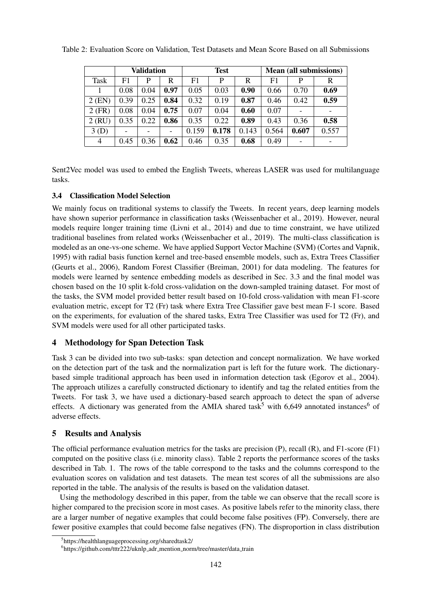|                | <b>Validation</b> |      |      | <b>Test</b> |       |       | <b>Mean (all submissions)</b> |       |       |
|----------------|-------------------|------|------|-------------|-------|-------|-------------------------------|-------|-------|
| <b>Task</b>    | F1                | P    | R    | F1          | P     | R     | F1                            | P     | R     |
|                | 0.08              | 0.04 | 0.97 | 0.05        | 0.03  | 0.90  | 0.66                          | 0.70  | 0.69  |
| $2$ (EN)       | 0.39              | 0.25 | 0.84 | 0.32        | 0.19  | 0.87  | 0.46                          | 0.42  | 0.59  |
| $2$ (FR)       | 0.08              | 0.04 | 0.75 | 0.07        | 0.04  | 0.60  | 0.07                          |       |       |
| $2$ (RU)       | 0.35              | 0.22 | 0.86 | 0.35        | 0.22  | 0.89  | 0.43                          | 0.36  | 0.58  |
| 3(D)           |                   | -    |      | 0.159       | 0.178 | 0.143 | 0.564                         | 0.607 | 0.557 |
| $\overline{4}$ | 0.45              | 0.36 | 0.62 | 0.46        | 0.35  | 0.68  | 0.49                          |       |       |

Table 2: Evaluation Score on Validation, Test Datasets and Mean Score Based on all Submissions

Sent2Vec model was used to embed the English Tweets, whereas LASER was used for multilanguage tasks.

# 3.4 Classification Model Selection

We mainly focus on traditional systems to classify the Tweets. In recent years, deep learning models have shown superior performance in classification tasks (Weissenbacher et al., 2019). However, neural models require longer training time (Livni et al., 2014) and due to time constraint, we have utilized traditional baselines from related works (Weissenbacher et al., 2019). The multi-class classification is modeled as an one-vs-one scheme. We have applied Support Vector Machine (SVM) (Cortes and Vapnik, 1995) with radial basis function kernel and tree-based ensemble models, such as, Extra Trees Classifier (Geurts et al., 2006), Random Forest Classifier (Breiman, 2001) for data modeling. The features for models were learned by sentence embedding models as described in Sec. 3.3 and the final model was chosen based on the 10 split k-fold cross-validation on the down-sampled training dataset. For most of the tasks, the SVM model provided better result based on 10-fold cross-validation with mean F1-score evaluation metric, except for T2 (Fr) task where Extra Tree Classifier gave best mean F-1 score. Based on the experiments, for evaluation of the shared tasks, Extra Tree Classifier was used for T2 (Fr), and SVM models were used for all other participated tasks.

# 4 Methodology for Span Detection Task

Task 3 can be divided into two sub-tasks: span detection and concept normalization. We have worked on the detection part of the task and the normalization part is left for the future work. The dictionarybased simple traditional approach has been used in information detection task (Egorov et al., 2004). The approach utilizes a carefully constructed dictionary to identify and tag the related entities from the Tweets. For task 3, we have used a dictionary-based search approach to detect the span of adverse effects. A dictionary was generated from the AMIA shared task<sup>5</sup> with 6,649 annotated instances<sup>6</sup> of adverse effects.

#### 5 Results and Analysis

The official performance evaluation metrics for the tasks are precision (P), recall (R), and F1-score (F1) computed on the positive class (i.e. minority class). Table 2 reports the performance scores of the tasks described in Tab. 1. The rows of the table correspond to the tasks and the columns correspond to the evaluation scores on validation and test datasets. The mean test scores of all the submissions are also reported in the table. The analysis of the results is based on the validation dataset.

Using the methodology described in this paper, from the table we can observe that the recall score is higher compared to the precision score in most cases. As positive labels refer to the minority class, there are a larger number of negative examples that could become false positives (FP). Conversely, there are fewer positive examples that could become false negatives (FN). The disproportion in class distribution

<sup>5</sup> https://healthlanguageprocessing.org/sharedtask2/

<sup>&</sup>lt;sup>6</sup>https://github.com/tttr222/uknlp\_adr\_mention\_norm/tree/master/data\_train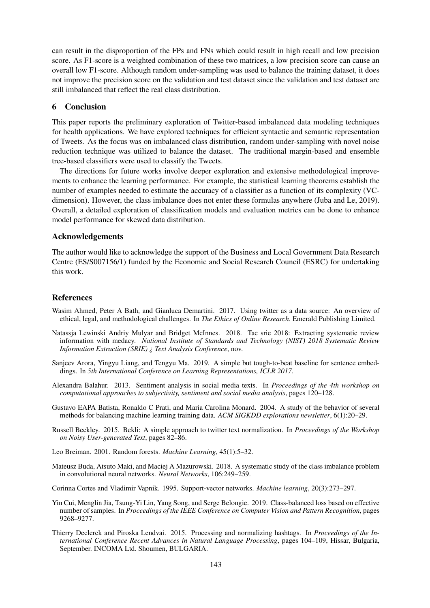can result in the disproportion of the FPs and FNs which could result in high recall and low precision score. As F1-score is a weighted combination of these two matrices, a low precision score can cause an overall low F1-score. Although random under-sampling was used to balance the training dataset, it does not improve the precision score on the validation and test dataset since the validation and test dataset are still imbalanced that reflect the real class distribution.

## 6 Conclusion

This paper reports the preliminary exploration of Twitter-based imbalanced data modeling techniques for health applications. We have explored techniques for efficient syntactic and semantic representation of Tweets. As the focus was on imbalanced class distribution, random under-sampling with novel noise reduction technique was utilized to balance the dataset. The traditional margin-based and ensemble tree-based classifiers were used to classify the Tweets.

The directions for future works involve deeper exploration and extensive methodological improvements to enhance the learning performance. For example, the statistical learning theorems establish the number of examples needed to estimate the accuracy of a classifier as a function of its complexity (VCdimension). However, the class imbalance does not enter these formulas anywhere (Juba and Le, 2019). Overall, a detailed exploration of classification models and evaluation metrics can be done to enhance model performance for skewed data distribution.

#### Acknowledgements

The author would like to acknowledge the support of the Business and Local Government Data Research Centre (ES/S007156/1) funded by the Economic and Social Research Council (ESRC) for undertaking this work.

## References

- Wasim Ahmed, Peter A Bath, and Gianluca Demartini. 2017. Using twitter as a data source: An overview of ethical, legal, and methodological challenges. In *The Ethics of Online Research*. Emerald Publishing Limited.
- Natassja Lewinski Andriy Mulyar and Bridget McInnes. 2018. Tac srie 2018: Extracting systematic review information with medacy. *National Institute of Standards and Technology (NIST) 2018 Systematic Review Information Extraction (SRIE) ¿ Text Analysis Conference*, nov.
- Sanjeev Arora, Yingyu Liang, and Tengyu Ma. 2019. A simple but tough-to-beat baseline for sentence embeddings. In *5th International Conference on Learning Representations, ICLR 2017*.
- Alexandra Balahur. 2013. Sentiment analysis in social media texts. In *Proceedings of the 4th workshop on computational approaches to subjectivity, sentiment and social media analysis*, pages 120–128.
- Gustavo EAPA Batista, Ronaldo C Prati, and Maria Carolina Monard. 2004. A study of the behavior of several methods for balancing machine learning training data. *ACM SIGKDD explorations newsletter*, 6(1):20–29.
- Russell Beckley. 2015. Bekli: A simple approach to twitter text normalization. In *Proceedings of the Workshop on Noisy User-generated Text*, pages 82–86.
- Leo Breiman. 2001. Random forests. *Machine Learning*, 45(1):5–32.
- Mateusz Buda, Atsuto Maki, and Maciej A Mazurowski. 2018. A systematic study of the class imbalance problem in convolutional neural networks. *Neural Networks*, 106:249–259.
- Corinna Cortes and Vladimir Vapnik. 1995. Support-vector networks. *Machine learning*, 20(3):273–297.
- Yin Cui, Menglin Jia, Tsung-Yi Lin, Yang Song, and Serge Belongie. 2019. Class-balanced loss based on effective number of samples. In *Proceedings of the IEEE Conference on Computer Vision and Pattern Recognition*, pages 9268–9277.
- Thierry Declerck and Piroska Lendvai. 2015. Processing and normalizing hashtags. In *Proceedings of the International Conference Recent Advances in Natural Language Processing*, pages 104–109, Hissar, Bulgaria, September. INCOMA Ltd. Shoumen, BULGARIA.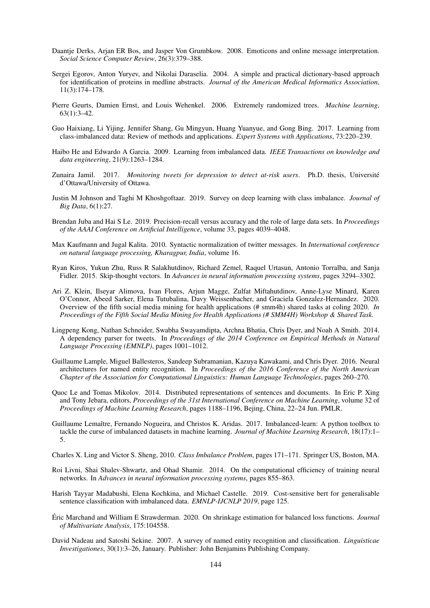- Daantje Derks, Arjan ER Bos, and Jasper Von Grumbkow. 2008. Emoticons and online message interpretation. *Social Science Computer Review*, 26(3):379–388.
- Sergei Egorov, Anton Yuryev, and Nikolai Daraselia. 2004. A simple and practical dictionary-based approach for identification of proteins in medline abstracts. *Journal of the American Medical Informatics Association*, 11(3):174–178.
- Pierre Geurts, Damien Ernst, and Louis Wehenkel. 2006. Extremely randomized trees. *Machine learning*, 63(1):3–42.
- Guo Haixiang, Li Yijing, Jennifer Shang, Gu Mingyun, Huang Yuanyue, and Gong Bing. 2017. Learning from class-imbalanced data: Review of methods and applications. *Expert Systems with Applications*, 73:220–239.
- Haibo He and Edwardo A Garcia. 2009. Learning from imbalanced data. *IEEE Transactions on knowledge and data engineering*, 21(9):1263–1284.
- Zunaira Jamil. 2017. *Monitoring tweets for depression to detect at-risk users*. Ph.D. thesis, Universite´ d'Ottawa/University of Ottawa.
- Justin M Johnson and Taghi M Khoshgoftaar. 2019. Survey on deep learning with class imbalance. *Journal of Big Data*, 6(1):27.
- Brendan Juba and Hai S Le. 2019. Precision-recall versus accuracy and the role of large data sets. In *Proceedings of the AAAI Conference on Artificial Intelligence*, volume 33, pages 4039–4048.
- Max Kaufmann and Jugal Kalita. 2010. Syntactic normalization of twitter messages. In *International conference on natural language processing, Kharagpur, India*, volume 16.
- Ryan Kiros, Yukun Zhu, Russ R Salakhutdinov, Richard Zemel, Raquel Urtasun, Antonio Torralba, and Sanja Fidler. 2015. Skip-thought vectors. In *Advances in neural information processing systems*, pages 3294–3302.
- Ari Z. Klein, Ilseyar Alimova, Ivan Flores, Arjun Magge, Zulfat Miftahutdinov, Anne-Lyse Minard, Karen O'Connor, Abeed Sarker, Elena Tutubalina, Davy Weissenbacher, and Graciela Gonzalez-Hernandez. 2020. Overview of the fifth social media mining for health applications (# smm4h) shared tasks at coling 2020. *In Proceedings of the Fifth Social Media Mining for Health Applications (# SMM4H) Workshop & Shared Task.*
- Lingpeng Kong, Nathan Schneider, Swabha Swayamdipta, Archna Bhatia, Chris Dyer, and Noah A Smith. 2014. A dependency parser for tweets. In *Proceedings of the 2014 Conference on Empirical Methods in Natural Language Processing (EMNLP)*, pages 1001–1012.
- Guillaume Lample, Miguel Ballesteros, Sandeep Subramanian, Kazuya Kawakami, and Chris Dyer. 2016. Neural architectures for named entity recognition. In *Proceedings of the 2016 Conference of the North American Chapter of the Association for Computational Linguistics: Human Language Technologies*, pages 260–270.
- Quoc Le and Tomas Mikolov. 2014. Distributed representations of sentences and documents. In Eric P. Xing and Tony Jebara, editors, *Proceedings of the 31st International Conference on Machine Learning*, volume 32 of *Proceedings of Machine Learning Research*, pages 1188–1196, Bejing, China, 22–24 Jun. PMLR.
- Guillaume Lemaître, Fernando Nogueira, and Christos K. Aridas. 2017. Imbalanced-learn: A python toolbox to tackle the curse of imbalanced datasets in machine learning. *Journal of Machine Learning Research*, 18(17):1– 5.
- Charles X. Ling and Victor S. Sheng, 2010. *Class Imbalance Problem*, pages 171–171. Springer US, Boston, MA.
- Roi Livni, Shai Shalev-Shwartz, and Ohad Shamir. 2014. On the computational efficiency of training neural networks. In *Advances in neural information processing systems*, pages 855–863.
- Harish Tayyar Madabushi, Elena Kochkina, and Michael Castelle. 2019. Cost-sensitive bert for generalisable sentence classification with imbalanced data. *EMNLP-IJCNLP 2019*, page 125.
- Eric Marchand and William E Strawderman. 2020. On shrinkage estimation for balanced loss functions. ´ *Journal of Multivariate Analysis*, 175:104558.
- David Nadeau and Satoshi Sekine. 2007. A survey of named entity recognition and classification. *Linguisticae Investigationes*, 30(1):3–26, January. Publisher: John Benjamins Publishing Company.